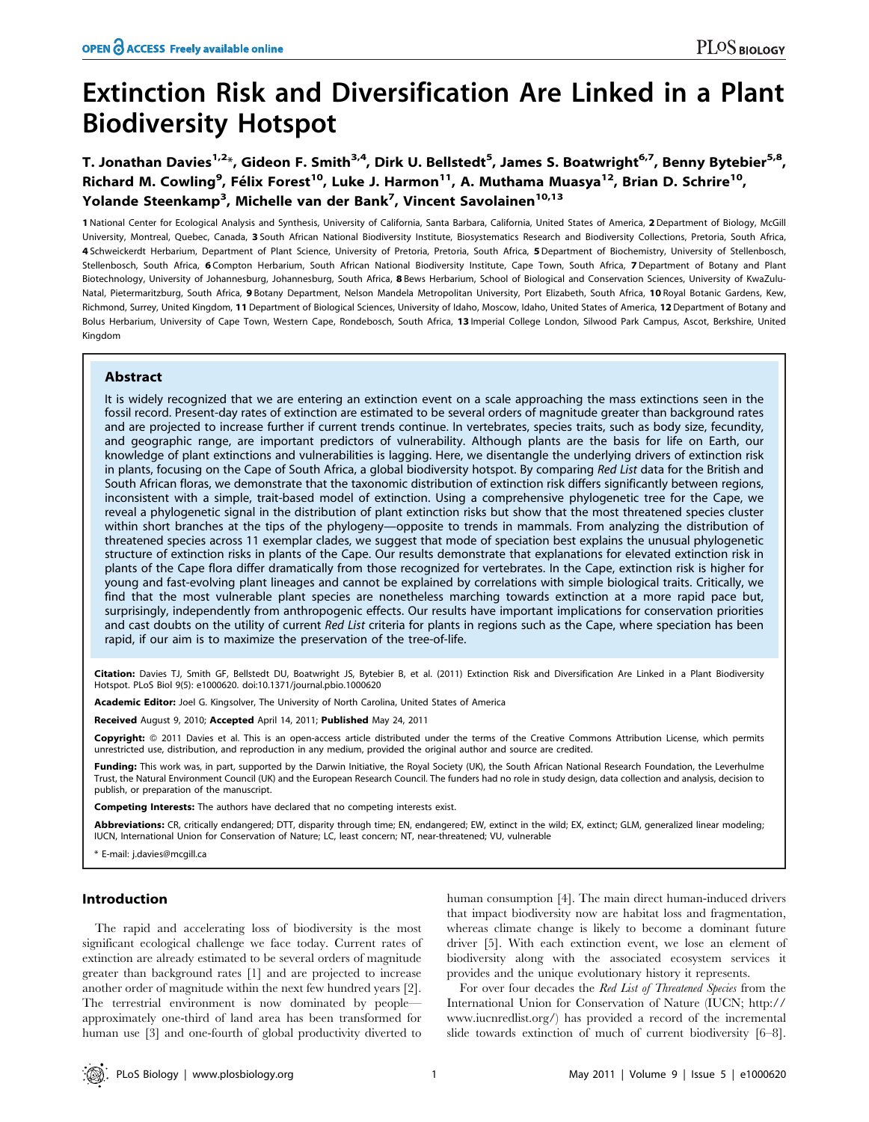# Extinction Risk and Diversification Are Linked in a Plant Biodiversity Hotspot

T. Jonathan Davies<sup>1,2</sup>\*, Gideon F. Smith<sup>3,4</sup>, Dirk U. Bellstedt<sup>5</sup>, James S. Boatwright<sup>6,7</sup>, Benny Bytebier<sup>5,8</sup>, Richard M. Cowling<sup>9</sup>, Félix Forest<sup>10</sup>, Luke J. Harmon<sup>11</sup>, A. Muthama Muasya<sup>12</sup>, Brian D. Schrire<sup>10</sup>, Yolande Steenkamp<sup>3</sup>, Michelle van der Bank<sup>7</sup>, Vincent Savolainen<sup>10,13</sup>

1 National Center for Ecological Analysis and Synthesis, University of California, Santa Barbara, California, United States of America, 2 Department of Biology, McGill University, Montreal, Quebec, Canada, 3 South African National Biodiversity Institute, Biosystematics Research and Biodiversity Collections, Pretoria, South Africa, 4 Schweickerdt Herbarium, Department of Plant Science, University of Pretoria, Pretoria, South Africa, 5 Department of Biochemistry, University of Stellenbosch, Stellenbosch, South Africa, 6 Compton Herbarium, South African National Biodiversity Institute, Cape Town, South Africa, 7 Department of Botany and Plant Biotechnology, University of Johannesburg, Johannesburg, South Africa, 8 Bews Herbarium, School of Biological and Conservation Sciences, University of KwaZulu-Natal, Pietermaritzburg, South Africa, 9 Botany Department, Nelson Mandela Metropolitan University, Port Elizabeth, South Africa, 10 Royal Botanic Gardens, Kew, Richmond, Surrey, United Kingdom, 11 Department of Biological Sciences, University of Idaho, Moscow, Idaho, United States of America, 12 Department of Botany and Bolus Herbarium, University of Cape Town, Western Cape, Rondebosch, South Africa, 13 Imperial College London, Silwood Park Campus, Ascot, Berkshire, United Kingdom

# Abstract

It is widely recognized that we are entering an extinction event on a scale approaching the mass extinctions seen in the fossil record. Present-day rates of extinction are estimated to be several orders of magnitude greater than background rates and are projected to increase further if current trends continue. In vertebrates, species traits, such as body size, fecundity, and geographic range, are important predictors of vulnerability. Although plants are the basis for life on Earth, our knowledge of plant extinctions and vulnerabilities is lagging. Here, we disentangle the underlying drivers of extinction risk in plants, focusing on the Cape of South Africa, a global biodiversity hotspot. By comparing Red List data for the British and South African floras, we demonstrate that the taxonomic distribution of extinction risk differs significantly between regions, inconsistent with a simple, trait-based model of extinction. Using a comprehensive phylogenetic tree for the Cape, we reveal a phylogenetic signal in the distribution of plant extinction risks but show that the most threatened species cluster within short branches at the tips of the phylogeny—opposite to trends in mammals. From analyzing the distribution of threatened species across 11 exemplar clades, we suggest that mode of speciation best explains the unusual phylogenetic structure of extinction risks in plants of the Cape. Our results demonstrate that explanations for elevated extinction risk in plants of the Cape flora differ dramatically from those recognized for vertebrates. In the Cape, extinction risk is higher for young and fast-evolving plant lineages and cannot be explained by correlations with simple biological traits. Critically, we find that the most vulnerable plant species are nonetheless marching towards extinction at a more rapid pace but, surprisingly, independently from anthropogenic effects. Our results have important implications for conservation priorities and cast doubts on the utility of current Red List criteria for plants in regions such as the Cape, where speciation has been rapid, if our aim is to maximize the preservation of the tree-of-life.

Citation: Davies TJ, Smith GF, Bellstedt DU, Boatwright JS, Bytebier B, et al. (2011) Extinction Risk and Diversification Are Linked in a Plant Biodiversity Hotspot. PLoS Biol 9(5): e1000620. doi:10.1371/journal.pbio.1000620

Academic Editor: Joel G. Kingsolver, The University of North Carolina, United States of America

Received August 9, 2010; Accepted April 14, 2011; Published May 24, 2011

Copyright: © 2011 Davies et al. This is an open-access article distributed under the terms of the Creative Commons Attribution License, which permits unrestricted use, distribution, and reproduction in any medium, provided the original author and source are credited.

Funding: This work was, in part, supported by the Darwin Initiative, the Royal Society (UK), the South African National Research Foundation, the Leverhulme Trust, the Natural Environment Council (UK) and the European Research Council. The funders had no role in study design, data collection and analysis, decision to publish, or preparation of the manuscript.

Competing Interests: The authors have declared that no competing interests exist.

Abbreviations: CR, critically endangered; DTT, disparity through time; EN, endangered; EW, extinct in the wild; EX, extinct; GLM, generalized linear modeling; IUCN, International Union for Conservation of Nature; LC, least concern; NT, near-threatened; VU, vulnerable

\* E-mail: j.davies@mcgill.ca

# Introduction

The rapid and accelerating loss of biodiversity is the most significant ecological challenge we face today. Current rates of extinction are already estimated to be several orders of magnitude greater than background rates [1] and are projected to increase another order of magnitude within the next few hundred years [2]. The terrestrial environment is now dominated by people approximately one-third of land area has been transformed for human use [3] and one-fourth of global productivity diverted to

human consumption [4]. The main direct human-induced drivers that impact biodiversity now are habitat loss and fragmentation, whereas climate change is likely to become a dominant future driver [5]. With each extinction event, we lose an element of biodiversity along with the associated ecosystem services it provides and the unique evolutionary history it represents.

For over four decades the Red List of Threatened Species from the International Union for Conservation of Nature (IUCN; http:// www.iucnredlist.org/) has provided a record of the incremental slide towards extinction of much of current biodiversity [6–8].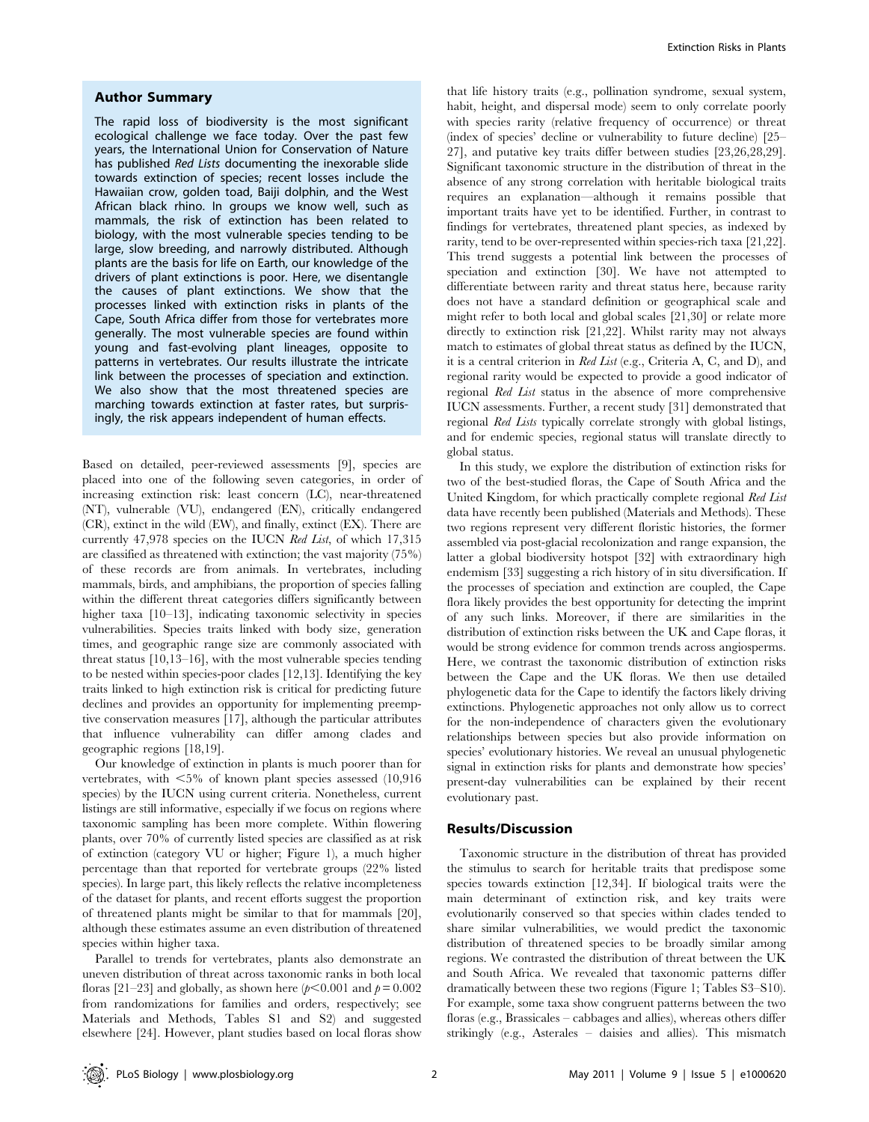## Author Summary

The rapid loss of biodiversity is the most significant ecological challenge we face today. Over the past few years, the International Union for Conservation of Nature has published Red Lists documenting the inexorable slide towards extinction of species; recent losses include the Hawaiian crow, golden toad, Baiji dolphin, and the West African black rhino. In groups we know well, such as mammals, the risk of extinction has been related to biology, with the most vulnerable species tending to be large, slow breeding, and narrowly distributed. Although plants are the basis for life on Earth, our knowledge of the drivers of plant extinctions is poor. Here, we disentangle the causes of plant extinctions. We show that the processes linked with extinction risks in plants of the Cape, South Africa differ from those for vertebrates more generally. The most vulnerable species are found within young and fast-evolving plant lineages, opposite to patterns in vertebrates. Our results illustrate the intricate link between the processes of speciation and extinction. We also show that the most threatened species are marching towards extinction at faster rates, but surprisingly, the risk appears independent of human effects.

Based on detailed, peer-reviewed assessments [9], species are placed into one of the following seven categories, in order of increasing extinction risk: least concern (LC), near-threatened (NT), vulnerable (VU), endangered (EN), critically endangered (CR), extinct in the wild (EW), and finally, extinct (EX). There are currently 47,978 species on the IUCN Red List, of which 17,315 are classified as threatened with extinction; the vast majority (75%) of these records are from animals. In vertebrates, including mammals, birds, and amphibians, the proportion of species falling within the different threat categories differs significantly between higher taxa [10–13], indicating taxonomic selectivity in species vulnerabilities. Species traits linked with body size, generation times, and geographic range size are commonly associated with threat status [10,13–16], with the most vulnerable species tending to be nested within species-poor clades [12,13]. Identifying the key traits linked to high extinction risk is critical for predicting future declines and provides an opportunity for implementing preemptive conservation measures [17], although the particular attributes that influence vulnerability can differ among clades and geographic regions [18,19].

Our knowledge of extinction in plants is much poorer than for vertebrates, with  $\leq 5\%$  of known plant species assessed (10,916 species) by the IUCN using current criteria. Nonetheless, current listings are still informative, especially if we focus on regions where taxonomic sampling has been more complete. Within flowering plants, over 70% of currently listed species are classified as at risk of extinction (category VU or higher; Figure 1), a much higher percentage than that reported for vertebrate groups (22% listed species). In large part, this likely reflects the relative incompleteness of the dataset for plants, and recent efforts suggest the proportion of threatened plants might be similar to that for mammals [20], although these estimates assume an even distribution of threatened species within higher taxa.

Parallel to trends for vertebrates, plants also demonstrate an uneven distribution of threat across taxonomic ranks in both local floras [21–23] and globally, as shown here  $(p<0.001$  and  $p=0.002$ from randomizations for families and orders, respectively; see Materials and Methods, Tables S1 and S2) and suggested elsewhere [24]. However, plant studies based on local floras show

that life history traits (e.g., pollination syndrome, sexual system, habit, height, and dispersal mode) seem to only correlate poorly with species rarity (relative frequency of occurrence) or threat (index of species' decline or vulnerability to future decline) [25– 27], and putative key traits differ between studies [23,26,28,29]. Significant taxonomic structure in the distribution of threat in the absence of any strong correlation with heritable biological traits requires an explanation—although it remains possible that important traits have yet to be identified. Further, in contrast to findings for vertebrates, threatened plant species, as indexed by rarity, tend to be over-represented within species-rich taxa [21,22]. This trend suggests a potential link between the processes of speciation and extinction [30]. We have not attempted to differentiate between rarity and threat status here, because rarity does not have a standard definition or geographical scale and might refer to both local and global scales [21,30] or relate more directly to extinction risk [21,22]. Whilst rarity may not always match to estimates of global threat status as defined by the IUCN, it is a central criterion in Red List (e.g., Criteria A, C, and D), and regional rarity would be expected to provide a good indicator of regional Red List status in the absence of more comprehensive IUCN assessments. Further, a recent study [31] demonstrated that regional Red Lists typically correlate strongly with global listings, and for endemic species, regional status will translate directly to global status.

In this study, we explore the distribution of extinction risks for two of the best-studied floras, the Cape of South Africa and the United Kingdom, for which practically complete regional Red List data have recently been published (Materials and Methods). These two regions represent very different floristic histories, the former assembled via post-glacial recolonization and range expansion, the latter a global biodiversity hotspot [32] with extraordinary high endemism [33] suggesting a rich history of in situ diversification. If the processes of speciation and extinction are coupled, the Cape flora likely provides the best opportunity for detecting the imprint of any such links. Moreover, if there are similarities in the distribution of extinction risks between the UK and Cape floras, it would be strong evidence for common trends across angiosperms. Here, we contrast the taxonomic distribution of extinction risks between the Cape and the UK floras. We then use detailed phylogenetic data for the Cape to identify the factors likely driving extinctions. Phylogenetic approaches not only allow us to correct for the non-independence of characters given the evolutionary relationships between species but also provide information on species' evolutionary histories. We reveal an unusual phylogenetic signal in extinction risks for plants and demonstrate how species' present-day vulnerabilities can be explained by their recent evolutionary past.

### Results/Discussion

Taxonomic structure in the distribution of threat has provided the stimulus to search for heritable traits that predispose some species towards extinction [12,34]. If biological traits were the main determinant of extinction risk, and key traits were evolutionarily conserved so that species within clades tended to share similar vulnerabilities, we would predict the taxonomic distribution of threatened species to be broadly similar among regions. We contrasted the distribution of threat between the UK and South Africa. We revealed that taxonomic patterns differ dramatically between these two regions (Figure 1; Tables S3–S10). For example, some taxa show congruent patterns between the two floras (e.g., Brassicales – cabbages and allies), whereas others differ strikingly (e.g., Asterales – daisies and allies). This mismatch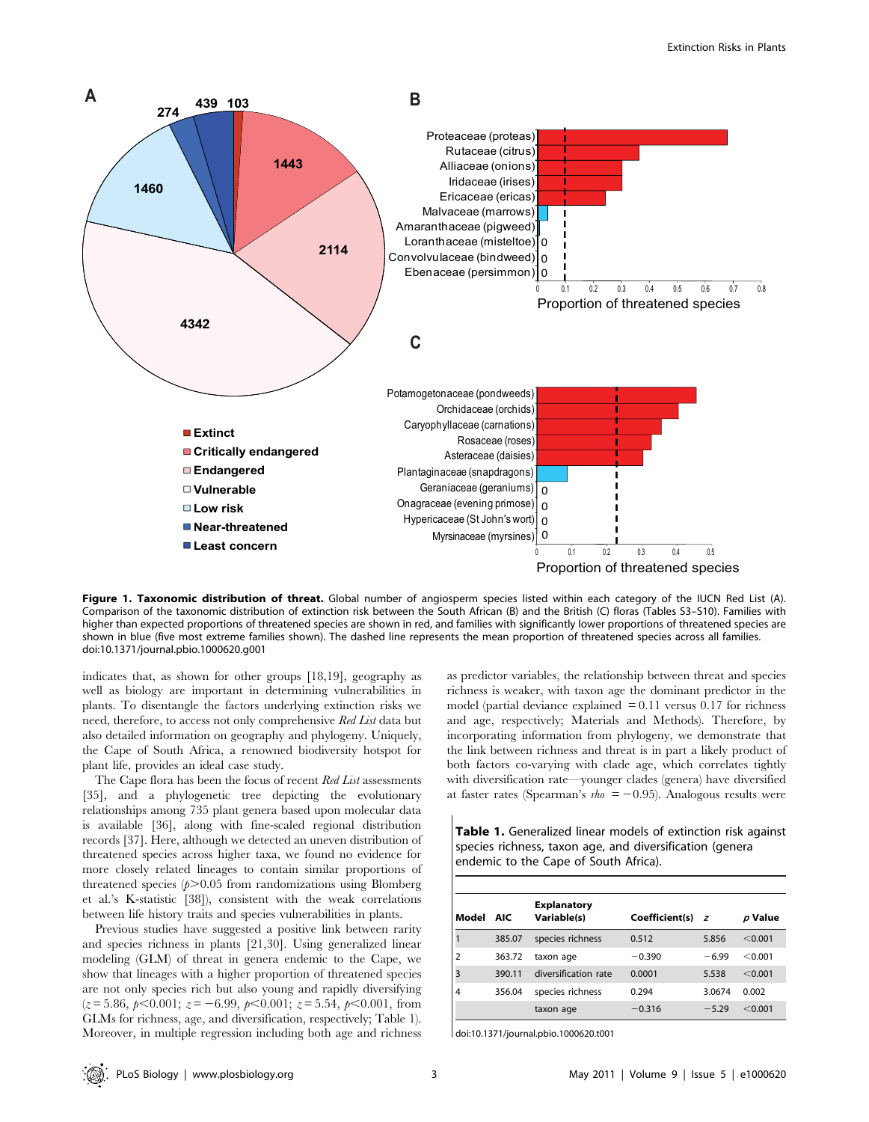

Figure 1. Taxonomic distribution of threat. Global number of angiosperm species listed within each category of the IUCN Red List (A). Comparison of the taxonomic distribution of extinction risk between the South African (B) and the British (C) floras (Tables S3–S10). Families with higher than expected proportions of threatened species are shown in red, and families with significantly lower proportions of threatened species are shown in blue (five most extreme families shown). The dashed line represents the mean proportion of threatened species across all families. doi:10.1371/journal.pbio.1000620.g001

indicates that, as shown for other groups [18,19], geography as well as biology are important in determining vulnerabilities in plants. To disentangle the factors underlying extinction risks we need, therefore, to access not only comprehensive Red List data but also detailed information on geography and phylogeny. Uniquely, the Cape of South Africa, a renowned biodiversity hotspot for plant life, provides an ideal case study.

The Cape flora has been the focus of recent Red List assessments [35], and a phylogenetic tree depicting the evolutionary relationships among 735 plant genera based upon molecular data is available [36], along with fine-scaled regional distribution records [37]. Here, although we detected an uneven distribution of threatened species across higher taxa, we found no evidence for more closely related lineages to contain similar proportions of threatened species  $(p>0.05$  from randomizations using Blomberg et al.'s K-statistic [38]), consistent with the weak correlations between life history traits and species vulnerabilities in plants.

Previous studies have suggested a positive link between rarity and species richness in plants [21,30]. Using generalized linear modeling (GLM) of threat in genera endemic to the Cape, we show that lineages with a higher proportion of threatened species are not only species rich but also young and rapidly diversifying  $(z=5.86, p<0.001; z=-6.99, p<0.001; z=5.54, p<0.001, \text{ from}$ GLMs for richness, age, and diversification, respectively; Table 1). Moreover, in multiple regression including both age and richness as predictor variables, the relationship between threat and species richness is weaker, with taxon age the dominant predictor in the model (partial deviance explained  $= 0.11$  versus 0.17 for richness and age, respectively; Materials and Methods). Therefore, by incorporating information from phylogeny, we demonstrate that the link between richness and threat is in part a likely product of both factors co-varying with clade age, which correlates tightly with diversification rate—younger clades (genera) have diversified at faster rates (Spearman's  $rho = -0.95$ ). Analogous results were

Table 1. Generalized linear models of extinction risk against species richness, taxon age, and diversification (genera endemic to the Cape of South Africa).

| Model          | AIC    | <b>Explanatory</b><br>Variable(s) | Coefficient(s) | $\mathbf{z}$ | Value<br>D |
|----------------|--------|-----------------------------------|----------------|--------------|------------|
|                | 385.07 | species richness                  | 0.512          | 5.856        | < 0.001    |
|                | 363.72 | taxon age                         | $-0.390$       | $-6.99$      | < 0.001    |
| $\overline{3}$ | 390.11 | diversification rate              | 0.0001         | 5.538        | < 0.001    |
|                | 356.04 | species richness                  | 0.294          | 3.0674       | 0.002      |
|                |        | taxon age                         | $-0.316$       | $-5.29$      | < 0.001    |

doi:10.1371/journal.pbio.1000620.t001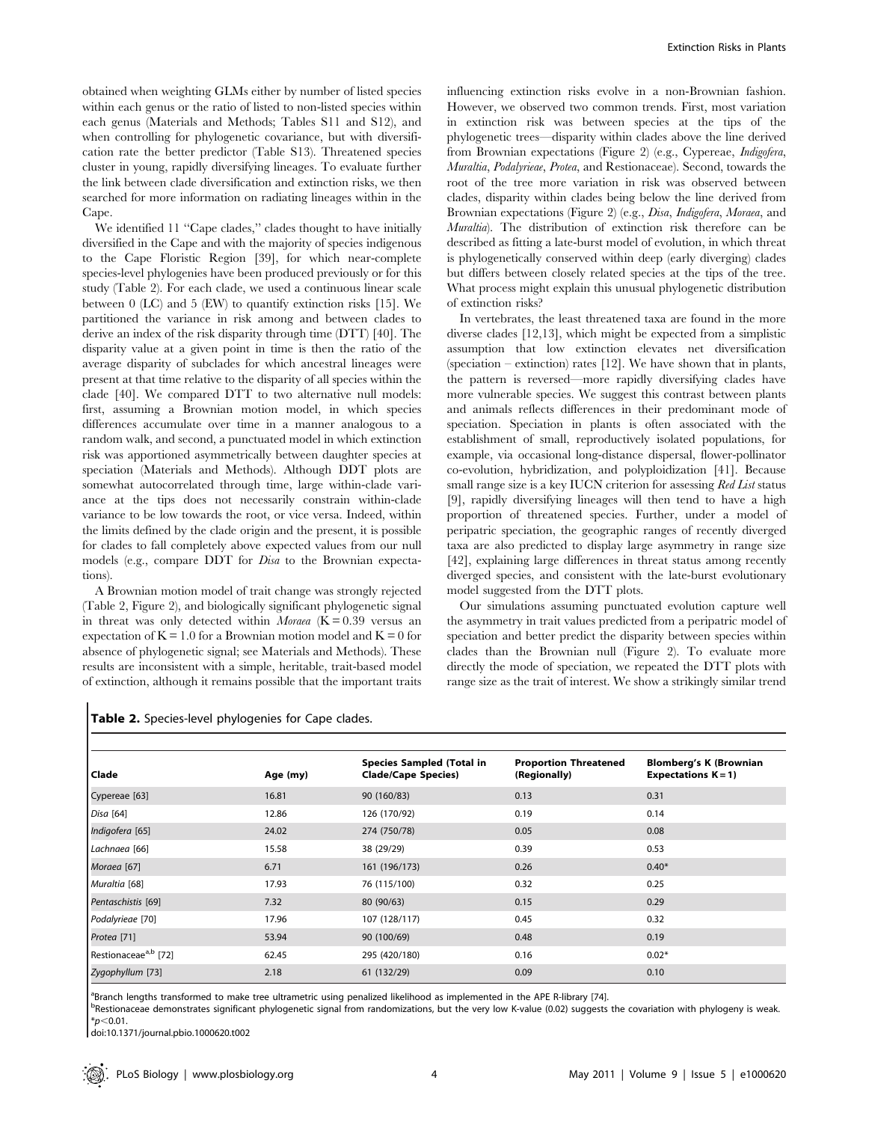obtained when weighting GLMs either by number of listed species within each genus or the ratio of listed to non-listed species within each genus (Materials and Methods; Tables S11 and S12), and when controlling for phylogenetic covariance, but with diversification rate the better predictor (Table S13). Threatened species cluster in young, rapidly diversifying lineages. To evaluate further the link between clade diversification and extinction risks, we then searched for more information on radiating lineages within in the Cape.

We identified 11 "Cape clades," clades thought to have initially diversified in the Cape and with the majority of species indigenous to the Cape Floristic Region [39], for which near-complete species-level phylogenies have been produced previously or for this study (Table 2). For each clade, we used a continuous linear scale between 0 (LC) and 5 (EW) to quantify extinction risks [15]. We partitioned the variance in risk among and between clades to derive an index of the risk disparity through time (DTT) [40]. The disparity value at a given point in time is then the ratio of the average disparity of subclades for which ancestral lineages were present at that time relative to the disparity of all species within the clade [40]. We compared DTT to two alternative null models: first, assuming a Brownian motion model, in which species differences accumulate over time in a manner analogous to a random walk, and second, a punctuated model in which extinction risk was apportioned asymmetrically between daughter species at speciation (Materials and Methods). Although DDT plots are somewhat autocorrelated through time, large within-clade variance at the tips does not necessarily constrain within-clade variance to be low towards the root, or vice versa. Indeed, within the limits defined by the clade origin and the present, it is possible for clades to fall completely above expected values from our null models (e.g., compare DDT for Disa to the Brownian expectations).

A Brownian motion model of trait change was strongly rejected (Table 2, Figure 2), and biologically significant phylogenetic signal in threat was only detected within *Moraea*  $(K = 0.39$  versus an expectation of  $K = 1.0$  for a Brownian motion model and  $K = 0$  for absence of phylogenetic signal; see Materials and Methods). These results are inconsistent with a simple, heritable, trait-based model of extinction, although it remains possible that the important traits

influencing extinction risks evolve in a non-Brownian fashion. However, we observed two common trends. First, most variation in extinction risk was between species at the tips of the phylogenetic trees—disparity within clades above the line derived from Brownian expectations (Figure 2) (e.g., Cypereae, Indigofera, Muraltia, Podalyrieae, Protea, and Restionaceae). Second, towards the root of the tree more variation in risk was observed between clades, disparity within clades being below the line derived from Brownian expectations (Figure 2) (e.g., *Disa, Indigofera, Moraea*, and Muraltia). The distribution of extinction risk therefore can be described as fitting a late-burst model of evolution, in which threat is phylogenetically conserved within deep (early diverging) clades but differs between closely related species at the tips of the tree. What process might explain this unusual phylogenetic distribution of extinction risks?

In vertebrates, the least threatened taxa are found in the more diverse clades [12,13], which might be expected from a simplistic assumption that low extinction elevates net diversification (speciation – extinction) rates [12]. We have shown that in plants, the pattern is reversed—more rapidly diversifying clades have more vulnerable species. We suggest this contrast between plants and animals reflects differences in their predominant mode of speciation. Speciation in plants is often associated with the establishment of small, reproductively isolated populations, for example, via occasional long-distance dispersal, flower-pollinator co-evolution, hybridization, and polyploidization [41]. Because small range size is a key IUCN criterion for assessing Red List status [9], rapidly diversifying lineages will then tend to have a high proportion of threatened species. Further, under a model of peripatric speciation, the geographic ranges of recently diverged taxa are also predicted to display large asymmetry in range size [42], explaining large differences in threat status among recently diverged species, and consistent with the late-burst evolutionary model suggested from the DTT plots.

Our simulations assuming punctuated evolution capture well the asymmetry in trait values predicted from a peripatric model of speciation and better predict the disparity between species within clades than the Brownian null (Figure 2). To evaluate more directly the mode of speciation, we repeated the DTT plots with range size as the trait of interest. We show a strikingly similar trend

| Clade                            | Age (my) | <b>Species Sampled (Total in</b><br><b>Clade/Cape Species)</b> | <b>Proportion Threatened</b><br>(Regionally) | <b>Blomberg's K (Brownian</b><br>Expectations $K = 1$ ) |
|----------------------------------|----------|----------------------------------------------------------------|----------------------------------------------|---------------------------------------------------------|
| Cypereae [63]                    | 16.81    | 90 (160/83)                                                    | 0.13                                         | 0.31                                                    |
| Disa [64]                        | 12.86    | 126 (170/92)                                                   | 0.19                                         | 0.14                                                    |
| Indigofera [65]                  | 24.02    | 274 (750/78)                                                   | 0.05                                         | 0.08                                                    |
| Lachnaea <sup>[66]</sup>         | 15.58    | 38 (29/29)                                                     | 0.39                                         | 0.53                                                    |
| Moraea <sup>[67]</sup>           | 6.71     | 161 (196/173)                                                  | 0.26                                         | $0.40*$                                                 |
| Muraltia [68]                    | 17.93    | 76 (115/100)                                                   | 0.32                                         | 0.25                                                    |
| Pentaschistis [69]               | 7.32     | 80 (90/63)                                                     | 0.15                                         | 0.29                                                    |
| Podalyrieae [70]                 | 17.96    | 107 (128/117)                                                  | 0.45                                         | 0.32                                                    |
| Protea <sup>[71]</sup>           | 53.94    | 90 (100/69)                                                    | 0.48                                         | 0.19                                                    |
| Restionaceae <sup>a,b</sup> [72] | 62.45    | 295 (420/180)                                                  | 0.16                                         | $0.02*$                                                 |
| Zygophyllum [73]                 | 2.18     | 61 (132/29)                                                    | 0.09                                         | 0.10                                                    |

Table 2. Species-level phylogenies for Cape clades.

<sup>a</sup>Branch lengths transformed to make tree ultrametric using penalized likelihood as implemented in the APE R-library [74].

**BRestionaceae demonstrates significant phylogenetic signal from randomizations, but the very low K-value (0.02) suggests the covariation with phylogeny is weak.**  $*_{p<0.01}$ 

doi:10.1371/journal.pbio.1000620.t002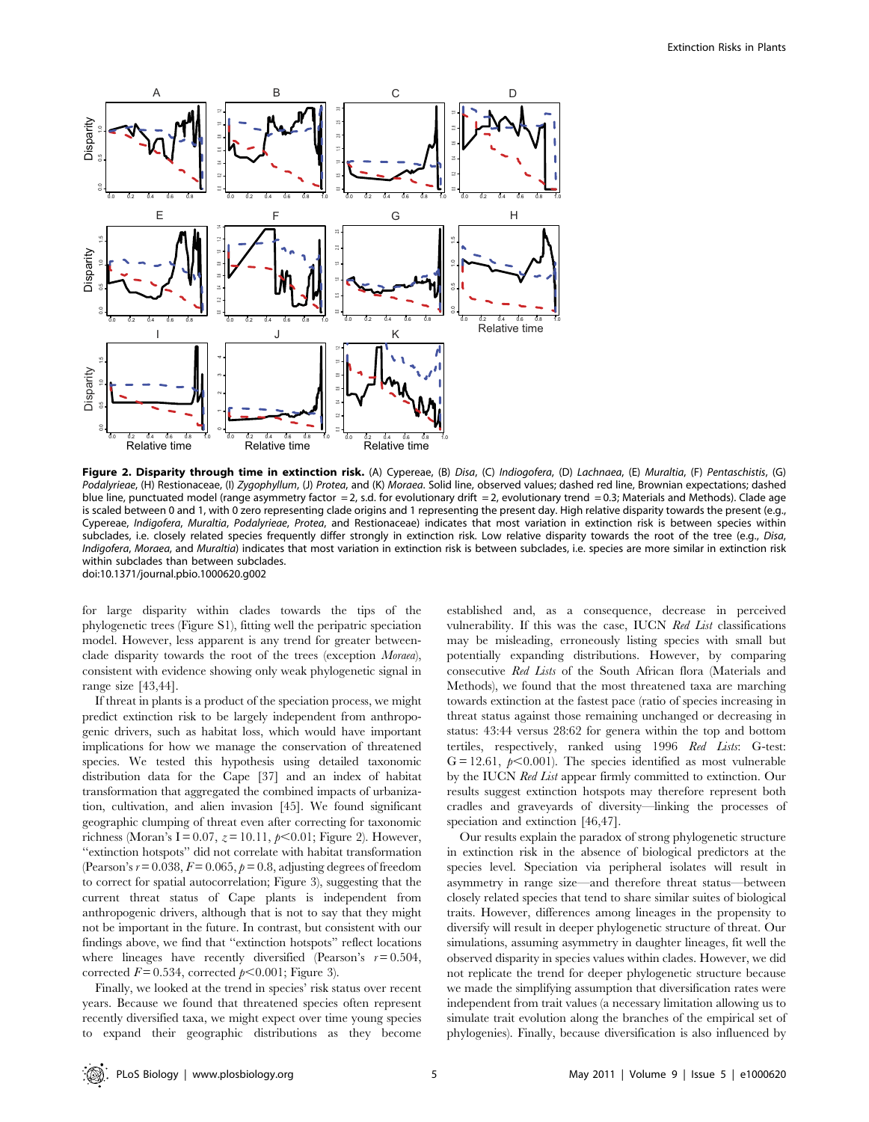

Figure 2. Disparity through time in extinction risk. (A) Cypereae, (B) Disa, (C) Indiogofera, (D) Lachnaea, (E) Muraltia, (F) Pentaschistis, (G) Podalyrieae, (H) Restionaceae, (I) Zygophyllum, (J) Protea, and (K) Moraea. Solid line, observed values; dashed red line, Brownian expectations; dashed blue line, punctuated model (range asymmetry factor = 2, s.d. for evolutionary drift = 2, evolutionary trend = 0.3; Materials and Methods). Clade age is scaled between 0 and 1, with 0 zero representing clade origins and 1 representing the present day. High relative disparity towards the present (e.g., Cypereae, Indigofera, Muraltia, Podalyrieae, Protea, and Restionaceae) indicates that most variation in extinction risk is between species within subclades, i.e. closely related species frequently differ strongly in extinction risk. Low relative disparity towards the root of the tree (e.g., Disa, Indigofera, Moraea, and Muraltia) indicates that most variation in extinction risk is between subclades, i.e. species are more similar in extinction risk within subclades than between subclades. doi:10.1371/journal.pbio.1000620.g002

for large disparity within clades towards the tips of the phylogenetic trees (Figure S1), fitting well the peripatric speciation model. However, less apparent is any trend for greater betweenclade disparity towards the root of the trees (exception Moraea), consistent with evidence showing only weak phylogenetic signal in range size [43,44].

If threat in plants is a product of the speciation process, we might predict extinction risk to be largely independent from anthropogenic drivers, such as habitat loss, which would have important implications for how we manage the conservation of threatened species. We tested this hypothesis using detailed taxonomic distribution data for the Cape [37] and an index of habitat transformation that aggregated the combined impacts of urbanization, cultivation, and alien invasion [45]. We found significant geographic clumping of threat even after correcting for taxonomic richness (Moran's I = 0.07,  $z = 10.11$ ,  $p < 0.01$ ; Figure 2). However, ''extinction hotspots'' did not correlate with habitat transformation (Pearson's  $r = 0.038$ ,  $F = 0.065$ ,  $p = 0.8$ , adjusting degrees of freedom to correct for spatial autocorrelation; Figure 3), suggesting that the current threat status of Cape plants is independent from anthropogenic drivers, although that is not to say that they might not be important in the future. In contrast, but consistent with our findings above, we find that ''extinction hotspots'' reflect locations where lineages have recently diversified (Pearson's  $r = 0.504$ , corrected  $F= 0.534$ , corrected  $p<0.001$ ; Figure 3).

Finally, we looked at the trend in species' risk status over recent years. Because we found that threatened species often represent recently diversified taxa, we might expect over time young species to expand their geographic distributions as they become established and, as a consequence, decrease in perceived vulnerability. If this was the case, IUCN Red List classifications may be misleading, erroneously listing species with small but potentially expanding distributions. However, by comparing consecutive Red Lists of the South African flora (Materials and Methods), we found that the most threatened taxa are marching towards extinction at the fastest pace (ratio of species increasing in threat status against those remaining unchanged or decreasing in status: 43:44 versus 28:62 for genera within the top and bottom tertiles, respectively, ranked using 1996 Red Lists: G-test: G = 12.61,  $p$ <0.001). The species identified as most vulnerable by the IUCN Red List appear firmly committed to extinction. Our results suggest extinction hotspots may therefore represent both cradles and graveyards of diversity—linking the processes of speciation and extinction  $[46, 47]$ .

Our results explain the paradox of strong phylogenetic structure in extinction risk in the absence of biological predictors at the species level. Speciation via peripheral isolates will result in asymmetry in range size—and therefore threat status—between closely related species that tend to share similar suites of biological traits. However, differences among lineages in the propensity to diversify will result in deeper phylogenetic structure of threat. Our simulations, assuming asymmetry in daughter lineages, fit well the observed disparity in species values within clades. However, we did not replicate the trend for deeper phylogenetic structure because we made the simplifying assumption that diversification rates were independent from trait values (a necessary limitation allowing us to simulate trait evolution along the branches of the empirical set of phylogenies). Finally, because diversification is also influenced by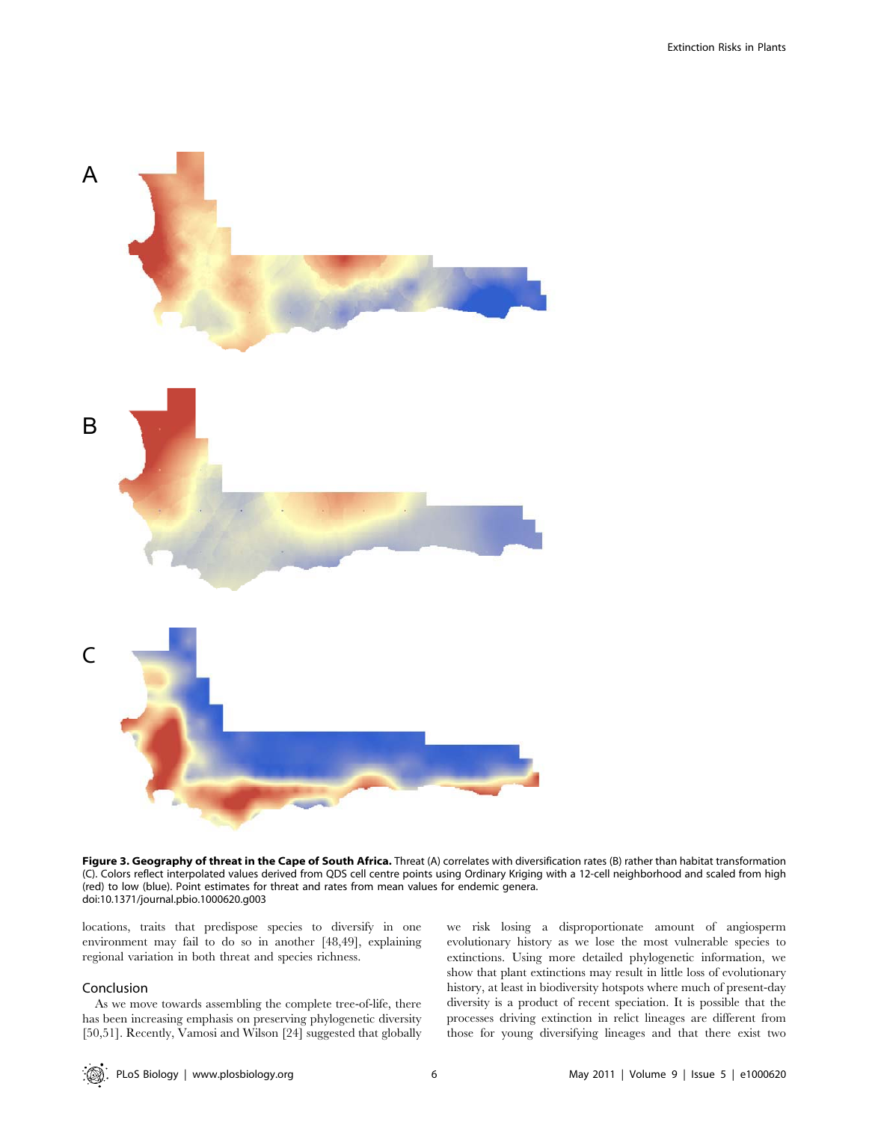

Figure 3. Geography of threat in the Cape of South Africa. Threat (A) correlates with diversification rates (B) rather than habitat transformation (C). Colors reflect interpolated values derived from QDS cell centre points using Ordinary Kriging with a 12-cell neighborhood and scaled from high (red) to low (blue). Point estimates for threat and rates from mean values for endemic genera. doi:10.1371/journal.pbio.1000620.g003

locations, traits that predispose species to diversify in one environment may fail to do so in another [48,49], explaining regional variation in both threat and species richness.

# Conclusion

As we move towards assembling the complete tree-of-life, there has been increasing emphasis on preserving phylogenetic diversity [50,51]. Recently, Vamosi and Wilson [24] suggested that globally we risk losing a disproportionate amount of angiosperm evolutionary history as we lose the most vulnerable species to extinctions. Using more detailed phylogenetic information, we show that plant extinctions may result in little loss of evolutionary history, at least in biodiversity hotspots where much of present-day diversity is a product of recent speciation. It is possible that the processes driving extinction in relict lineages are different from those for young diversifying lineages and that there exist two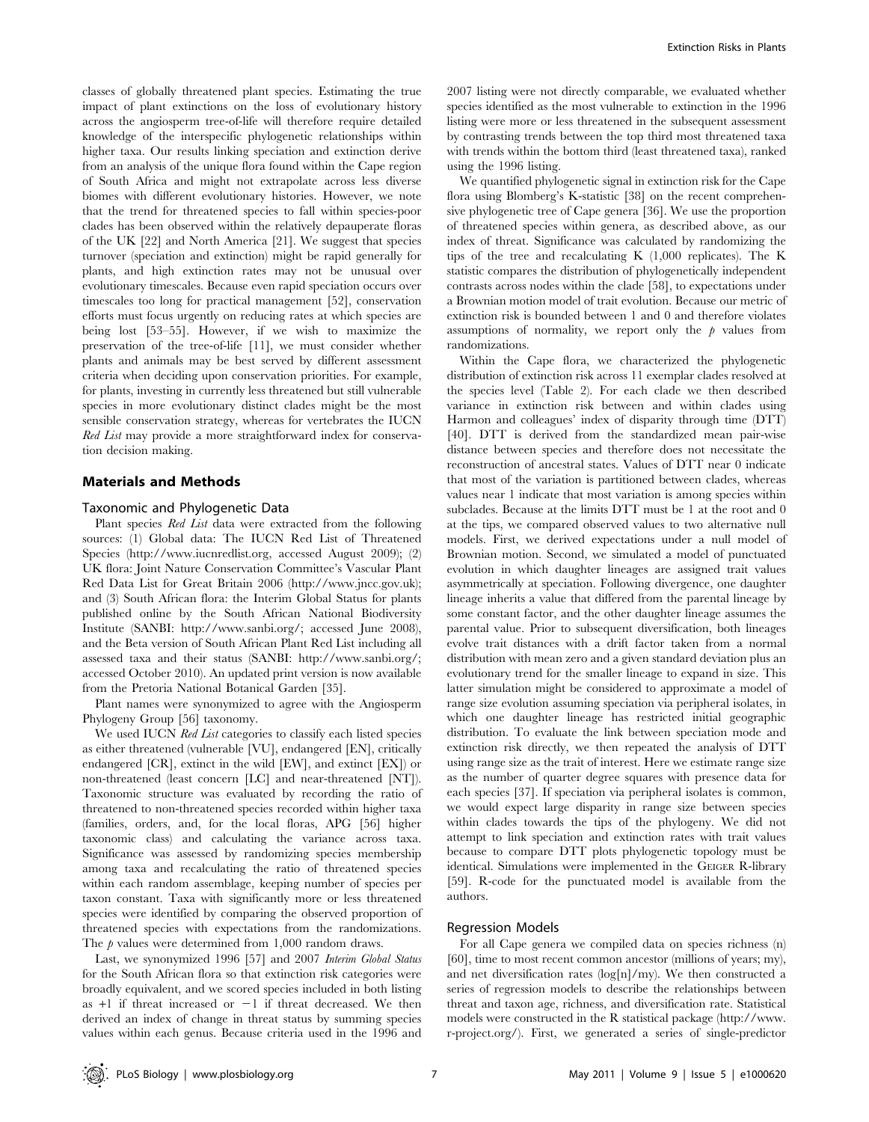classes of globally threatened plant species. Estimating the true impact of plant extinctions on the loss of evolutionary history across the angiosperm tree-of-life will therefore require detailed knowledge of the interspecific phylogenetic relationships within higher taxa. Our results linking speciation and extinction derive from an analysis of the unique flora found within the Cape region of South Africa and might not extrapolate across less diverse biomes with different evolutionary histories. However, we note that the trend for threatened species to fall within species-poor clades has been observed within the relatively depauperate floras of the UK [22] and North America [21]. We suggest that species turnover (speciation and extinction) might be rapid generally for plants, and high extinction rates may not be unusual over evolutionary timescales. Because even rapid speciation occurs over timescales too long for practical management [52], conservation efforts must focus urgently on reducing rates at which species are being lost [53–55]. However, if we wish to maximize the preservation of the tree-of-life [11], we must consider whether plants and animals may be best served by different assessment criteria when deciding upon conservation priorities. For example, for plants, investing in currently less threatened but still vulnerable species in more evolutionary distinct clades might be the most sensible conservation strategy, whereas for vertebrates the IUCN Red List may provide a more straightforward index for conservation decision making.

## Materials and Methods

## Taxonomic and Phylogenetic Data

Plant species *Red List* data were extracted from the following sources: (1) Global data: The IUCN Red List of Threatened Species (http://www.iucnredlist.org, accessed August 2009); (2) UK flora: Joint Nature Conservation Committee's Vascular Plant Red Data List for Great Britain 2006 (http://www.jncc.gov.uk); and (3) South African flora: the Interim Global Status for plants published online by the South African National Biodiversity Institute (SANBI: http://www.sanbi.org/; accessed June 2008), and the Beta version of South African Plant Red List including all assessed taxa and their status (SANBI: http://www.sanbi.org/; accessed October 2010). An updated print version is now available from the Pretoria National Botanical Garden [35].

Plant names were synonymized to agree with the Angiosperm Phylogeny Group [56] taxonomy.

We used IUCN Red List categories to classify each listed species as either threatened (vulnerable [VU], endangered [EN], critically endangered [CR], extinct in the wild [EW], and extinct [EX]) or non-threatened (least concern [LC] and near-threatened [NT]). Taxonomic structure was evaluated by recording the ratio of threatened to non-threatened species recorded within higher taxa (families, orders, and, for the local floras, APG [56] higher taxonomic class) and calculating the variance across taxa. Significance was assessed by randomizing species membership among taxa and recalculating the ratio of threatened species within each random assemblage, keeping number of species per taxon constant. Taxa with significantly more or less threatened species were identified by comparing the observed proportion of threatened species with expectations from the randomizations. The  $p$  values were determined from 1,000 random draws.

Last, we synonymized 1996 [57] and 2007 Interim Global Status for the South African flora so that extinction risk categories were broadly equivalent, and we scored species included in both listing as  $+1$  if threat increased or  $-1$  if threat decreased. We then derived an index of change in threat status by summing species values within each genus. Because criteria used in the 1996 and

2007 listing were not directly comparable, we evaluated whether species identified as the most vulnerable to extinction in the 1996 listing were more or less threatened in the subsequent assessment by contrasting trends between the top third most threatened taxa with trends within the bottom third (least threatened taxa), ranked using the 1996 listing.

We quantified phylogenetic signal in extinction risk for the Cape flora using Blomberg's K-statistic [38] on the recent comprehensive phylogenetic tree of Cape genera [36]. We use the proportion of threatened species within genera, as described above, as our index of threat. Significance was calculated by randomizing the tips of the tree and recalculating K (1,000 replicates). The K statistic compares the distribution of phylogenetically independent contrasts across nodes within the clade [58], to expectations under a Brownian motion model of trait evolution. Because our metric of extinction risk is bounded between 1 and 0 and therefore violates assumptions of normality, we report only the  $p$  values from randomizations.

Within the Cape flora, we characterized the phylogenetic distribution of extinction risk across 11 exemplar clades resolved at the species level (Table 2). For each clade we then described variance in extinction risk between and within clades using Harmon and colleagues' index of disparity through time (DTT) [40]. DTT is derived from the standardized mean pair-wise distance between species and therefore does not necessitate the reconstruction of ancestral states. Values of DTT near 0 indicate that most of the variation is partitioned between clades, whereas values near 1 indicate that most variation is among species within subclades. Because at the limits DTT must be 1 at the root and 0 at the tips, we compared observed values to two alternative null models. First, we derived expectations under a null model of Brownian motion. Second, we simulated a model of punctuated evolution in which daughter lineages are assigned trait values asymmetrically at speciation. Following divergence, one daughter lineage inherits a value that differed from the parental lineage by some constant factor, and the other daughter lineage assumes the parental value. Prior to subsequent diversification, both lineages evolve trait distances with a drift factor taken from a normal distribution with mean zero and a given standard deviation plus an evolutionary trend for the smaller lineage to expand in size. This latter simulation might be considered to approximate a model of range size evolution assuming speciation via peripheral isolates, in which one daughter lineage has restricted initial geographic distribution. To evaluate the link between speciation mode and extinction risk directly, we then repeated the analysis of DTT using range size as the trait of interest. Here we estimate range size as the number of quarter degree squares with presence data for each species [37]. If speciation via peripheral isolates is common, we would expect large disparity in range size between species within clades towards the tips of the phylogeny. We did not attempt to link speciation and extinction rates with trait values because to compare DTT plots phylogenetic topology must be identical. Simulations were implemented in the GEIGER R-library [59]. R-code for the punctuated model is available from the authors.

## Regression Models

For all Cape genera we compiled data on species richness (n) [60], time to most recent common ancestor (millions of years; my), and net diversification rates (log[n]/my). We then constructed a series of regression models to describe the relationships between threat and taxon age, richness, and diversification rate. Statistical models were constructed in the R statistical package (http://www. r-project.org/). First, we generated a series of single-predictor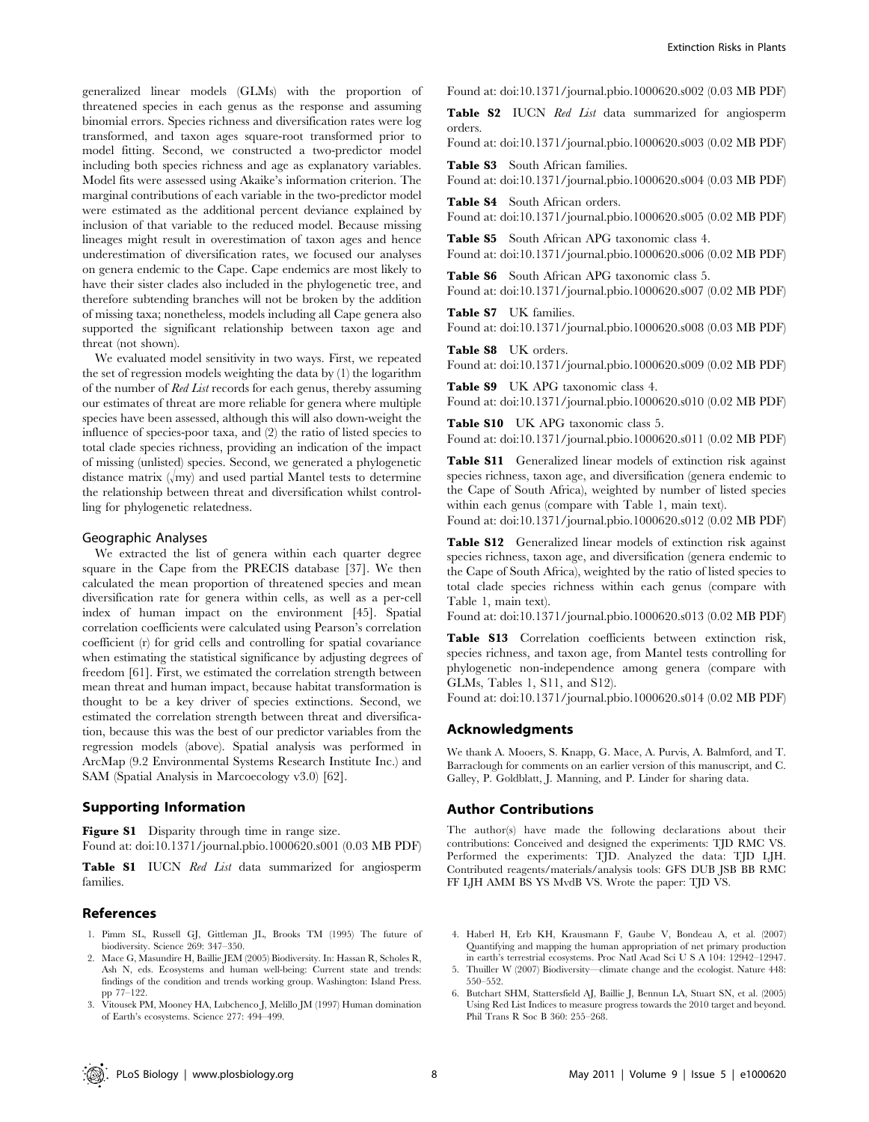generalized linear models (GLMs) with the proportion of threatened species in each genus as the response and assuming binomial errors. Species richness and diversification rates were log transformed, and taxon ages square-root transformed prior to model fitting. Second, we constructed a two-predictor model including both species richness and age as explanatory variables. Model fits were assessed using Akaike's information criterion. The marginal contributions of each variable in the two-predictor model were estimated as the additional percent deviance explained by inclusion of that variable to the reduced model. Because missing lineages might result in overestimation of taxon ages and hence underestimation of diversification rates, we focused our analyses on genera endemic to the Cape. Cape endemics are most likely to have their sister clades also included in the phylogenetic tree, and therefore subtending branches will not be broken by the addition of missing taxa; nonetheless, models including all Cape genera also supported the significant relationship between taxon age and threat (not shown).

We evaluated model sensitivity in two ways. First, we repeated the set of regression models weighting the data by (1) the logarithm of the number of Red List records for each genus, thereby assuming our estimates of threat are more reliable for genera where multiple species have been assessed, although this will also down-weight the influence of species-poor taxa, and (2) the ratio of listed species to total clade species richness, providing an indication of the impact of missing (unlisted) species. Second, we generated a phylogenetic distance matrix  $(\sqrt{my})$  and used partial Mantel tests to determine the relationship between threat and diversification whilst controlling for phylogenetic relatedness.

#### Geographic Analyses

We extracted the list of genera within each quarter degree square in the Cape from the PRECIS database [37]. We then calculated the mean proportion of threatened species and mean diversification rate for genera within cells, as well as a per-cell index of human impact on the environment [45]. Spatial correlation coefficients were calculated using Pearson's correlation coefficient (r) for grid cells and controlling for spatial covariance when estimating the statistical significance by adjusting degrees of freedom [61]. First, we estimated the correlation strength between mean threat and human impact, because habitat transformation is thought to be a key driver of species extinctions. Second, we estimated the correlation strength between threat and diversification, because this was the best of our predictor variables from the regression models (above). Spatial analysis was performed in ArcMap (9.2 Environmental Systems Research Institute Inc.) and SAM (Spatial Analysis in Marcoecology v3.0) [62].

#### Supporting Information

Figure S1 Disparity through time in range size.

Found at: doi:10.1371/journal.pbio.1000620.s001 (0.03 MB PDF)

Table S1 IUCN Red List data summarized for angiosperm families.

# References

- 1. Pimm SL, Russell GJ, Gittleman JL, Brooks TM (1995) The future of biodiversity. Science 269: 347–350.
- 2. Mace G, Masundire H, Baillie JEM (2005) Biodiversity. In: Hassan R, Scholes R, Ash N, eds. Ecosystems and human well-being: Current state and trends: findings of the condition and trends working group. Washington: Island Press. pp 77–122.
- 3. Vitousek PM, Mooney HA, Lubchenco J, Melillo JM (1997) Human domination of Earth's ecosystems. Science 277: 494–499.

Found at: doi:10.1371/journal.pbio.1000620.s002 (0.03 MB PDF)

Table S2 IUCN Red List data summarized for angiosperm orders.

Found at: doi:10.1371/journal.pbio.1000620.s003 (0.02 MB PDF)

Table S3 South African families. Found at: doi:10.1371/journal.pbio.1000620.s004 (0.03 MB PDF)

Table S4 South African orders. Found at: doi:10.1371/journal.pbio.1000620.s005 (0.02 MB PDF)

Table S5 South African APG taxonomic class 4. Found at: doi:10.1371/journal.pbio.1000620.s006 (0.02 MB PDF)

Table S6 South African APG taxonomic class 5. Found at: doi:10.1371/journal.pbio.1000620.s007 (0.02 MB PDF)

Table S7 UK families. Found at: doi:10.1371/journal.pbio.1000620.s008 (0.03 MB PDF)

Table S8 UK orders. Found at: doi:10.1371/journal.pbio.1000620.s009 (0.02 MB PDF)

Table S9 UK APG taxonomic class 4. Found at: doi:10.1371/journal.pbio.1000620.s010 (0.02 MB PDF)

Table S10 UK APG taxonomic class 5. Found at: doi:10.1371/journal.pbio.1000620.s011 (0.02 MB PDF)

Table S11 Generalized linear models of extinction risk against species richness, taxon age, and diversification (genera endemic to the Cape of South Africa), weighted by number of listed species within each genus (compare with Table 1, main text).

Found at: doi:10.1371/journal.pbio.1000620.s012 (0.02 MB PDF)

Table S12 Generalized linear models of extinction risk against species richness, taxon age, and diversification (genera endemic to the Cape of South Africa), weighted by the ratio of listed species to total clade species richness within each genus (compare with Table 1, main text).

Found at: doi:10.1371/journal.pbio.1000620.s013 (0.02 MB PDF)

Table S13 Correlation coefficients between extinction risk, species richness, and taxon age, from Mantel tests controlling for phylogenetic non-independence among genera (compare with GLMs, Tables 1, S11, and S12).

Found at: doi:10.1371/journal.pbio.1000620.s014 (0.02 MB PDF)

## Acknowledgments

We thank A. Mooers, S. Knapp, G. Mace, A. Purvis, A. Balmford, and T. Barraclough for comments on an earlier version of this manuscript, and C. Galley, P. Goldblatt, J. Manning, and P. Linder for sharing data.

#### Author Contributions

The author(s) have made the following declarations about their contributions: Conceived and designed the experiments: TJD RMC VS. Performed the experiments: TJD. Analyzed the data: TJD LJH. Contributed reagents/materials/analysis tools: GFS DUB JSB BB RMC FF LJH AMM BS YS MvdB VS. Wrote the paper: TJD VS.

- 4. Haberl H, Erb KH, Krausmann F, Gaube V, Bondeau A, et al. (2007) Quantifying and mapping the human appropriation of net primary production in earth's terrestrial ecosystems. Proc Natl Acad Sci U S A 104: 12942–12947.
- 5. Thuiller W (2007) Biodiversity—climate change and the ecologist. Nature 448: 550–552.
- 6. Butchart SHM, Stattersfield AJ, Baillie J, Bennun LA, Stuart SN, et al. (2005) Using Red List Indices to measure progress towards the 2010 target and beyond. Phil Trans R Soc B 360: 255–268.